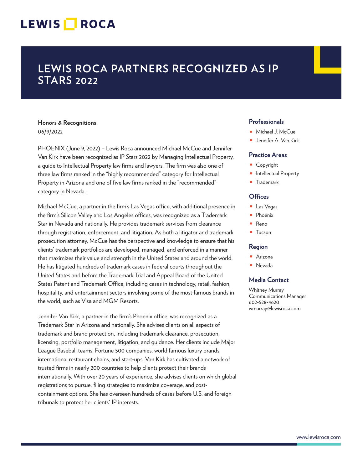# LEWIS **NOCA**

# **LEWIS ROCA PARTNERS RECOGNIZED AS IP STARS 2022**

# **Honors & Recognitions** 06/9/2022

PHOENIX (June 9, 2022) – Lewis Roca announced Michael McCue and Jennifer Van Kirk have been recognized as IP Stars 2022 by Managing Intellectual Property, a guide to Intellectual Property law firms and lawyers. The firm was also one of three law firms ranked in the "highly recommended" category for Intellectual Property in Arizona and one of five law firms ranked in the "recommended" category in Nevada.

Michael McCue, a partner in the firm's Las Vegas office, with additional presence in the firm's Silicon Valley and Los Angeles offices, was recognized as a Trademark Star in Nevada and nationally. He provides trademark services from clearance through registration, enforcement, and litigation. As both a litigator and trademark prosecution attorney, McCue has the perspective and knowledge to ensure that his clients' trademark portfolios are developed, managed, and enforced in a manner that maximizes their value and strength in the United States and around the world. He has litigated hundreds of trademark cases in federal courts throughout the United States and before the Trademark Trial and Appeal Board of the United States Patent and Trademark Office, including cases in technology, retail, fashion, hospitality, and entertainment sectors involving some of the most famous brands in the world, such as Visa and MGM Resorts.

Jennifer Van Kirk, a partner in the firm's Phoenix office, was recognized as a Trademark Star in Arizona and nationally. She advises clients on all aspects of trademark and brand protection, including trademark clearance, prosecution, licensing, portfolio management, litigation, and guidance. Her clients include Major League Baseball teams, Fortune 500 companies, world famous luxury brands, international restaurant chains, and start-ups. Van Kirk has cultivated a network of trusted firms in nearly 200 countries to help clients protect their brands internationally. With over 20 years of experience, she advises clients on which global registrations to pursue, filing strategies to maximize coverage, and costcontainment options. She has overseen hundreds of cases before U.S. and foreign tribunals to protect her clients' IP interests.

### **Professionals**

- Michael J. McCue
- Jennifer A. Van Kirk

#### **Practice Areas**

- Copyright
- Intellectual Property
- Trademark

### **Offices**

- Las Vegas
- Phoenix
- Reno
- Tucson

#### **Region**

- Arizona
- Nevada

## **Media Contact**

Whitney Murray Communications Manager 602-528-4620 wmurray@lewisroca.com